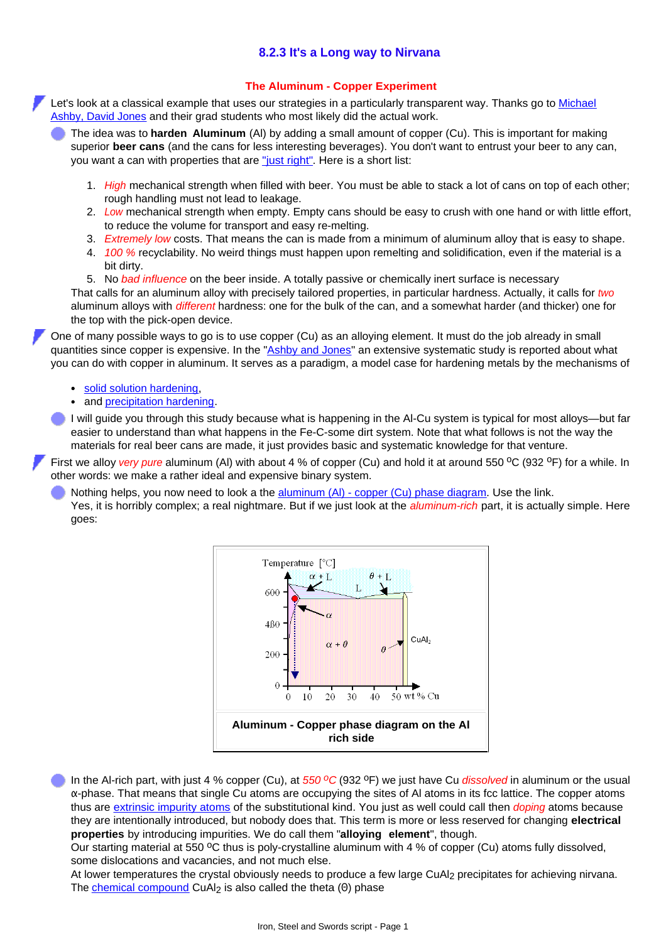## **8.2.3 It's a Long way to Nirvana**

## **The Aluminum - Copper Experiment**

Let's look at a classical example that uses our strategies in a particularly transparent way. Thanks go to [Michael](http://www.tf.uni-kiel.de/matwis/amat/iss_dec_15_2021/kap_1/illustr/s1_1_2.html#!ashby) [Ashby, David Jones](http://www.tf.uni-kiel.de/matwis/amat/iss_dec_15_2021/kap_1/illustr/s1_1_2.html#!ashby) and their grad students who most likely did the actual work.

The idea was to **harden Aluminum** (Al) by adding a small amount of copper (Cu). This is important for making superior **beer cans** (and the cans for less interesting beverages). You don't want to entrust your beer to any can, you want a can with properties that are ["just right"](http://www.tf.uni-kiel.de/matwis/amat/iss_dec_15_2021/kap_8/advanced/a8_1_1.html). Here is a short list:

- *High* mechanical strength when filled with beer. You must be able to stack a lot of cans on top of each other; 1. rough handling must not lead to leakage.
- *Low* mechanical strength when empty. Empty cans should be easy to crush with one hand or with little effort, 2. to reduce the volume for transport and easy re-melting.
- 3. *Extremely low* costs. That means the can is made from a minimum of aluminum alloy that is easy to shape.
- *100 %* recyclability. No weird things must happen upon remelting and solidification, even if the material is a 4. bit dirty.

5. No *bad influence* on the beer inside. A totally passive or chemically inert surface is necessary That calls for an aluminum alloy with precisely tailored properties, in particular hardness. Actually, it calls for *two* aluminum alloys with *different* hardness: one for the bulk of the can, and a somewhat harder (and thicker) one for the top with the pick-open device.

One of many possible ways to go is to use copper (Cu) as an alloying element. It must do the job already in small quantities since copper is expensive. In the "[Ashby and Jones"](http://www.tf.uni-kiel.de/matwis/amat/iss_dec_15_2021/kap_1/illustr/s1_1_2.html#!ashby) an extensive systematic study is reported about what you can do with copper in aluminum. It serves as a paradigm, a model case for hardening metals by the mechanisms of

- [solid solution hardening](http://www.tf.uni-kiel.de/matwis/amat/iss_dec_15_2021/kap_8/backbone/r8_1_1.html#solid solution hardening),
- and [precipitation hardening.](http://www.tf.uni-kiel.de/matwis/amat/iss_dec_15_2021/kap_8/backbone/r8_1_1.html#precipitation hardening)

I will guide you through this study because what is happening in the Al-Cu system is typical for most alloys—but far easier to understand than what happens in the Fe-C-some dirt system. Note that what follows is not the way the materials for real beer cans are made, it just provides basic and systematic knowledge for that venture.

First we alloy *very pure* aluminum (Al) with about 4 % of copper (Cu) and hold it at around 550 °C (932 °F) for a while. In other words: we make a rather ideal and expensive binary system.

Nothing helps, you now need to look a the [aluminum \(Al\) - copper \(Cu\) phase diagram](http://www.tf.uni-kiel.de/matwis/amat/iss_dec_15_2021/kap_8/illustr/i8_2_1.html). Use the link. Yes, it is horribly complex; a real nightmare. But if we just look at the *aluminum-rich* part, it is actually simple. Here goes:



In the Al-rich part, with just 4 % copper (Cu), at 550 °C (932 °F) we just have Cu *dissolved* in aluminum or the usual α-phase. That means that single Cu atoms are occupying the sites of Al atoms in its fcc lattice. The copper atoms thus are [extrinsic impurity atoms](http://www.tf.uni-kiel.de/matwis/amat/iss_dec_15_2021/kap_5/backbone/r5_2_1.html#extrinsic point defects) of the substitutional kind. You just as well could call then *doping* atoms because they are intentionally introduced, but nobody does that. This term is more or less reserved for changing **electrical properties** by introducing impurities. We do call them "**alloying element**", though.

Our starting material at 550  $\rm{^{\circ}C}$  thus is poly-crystalline aluminum with 4 % of copper (Cu) atoms fully dissolved, some dislocations and vacancies, and not much else.

At lower temperatures the crystal obviously needs to produce a few large CuAl<sub>2</sub> precipitates for achieving nirvana. The [chemical compound](http://www.tf.uni-kiel.de/matwis/amat/iss_dec_15_2021/kap_5/backbone/r5_5_1.html) CuAl<sub>2</sub> is also called the theta (Θ) phase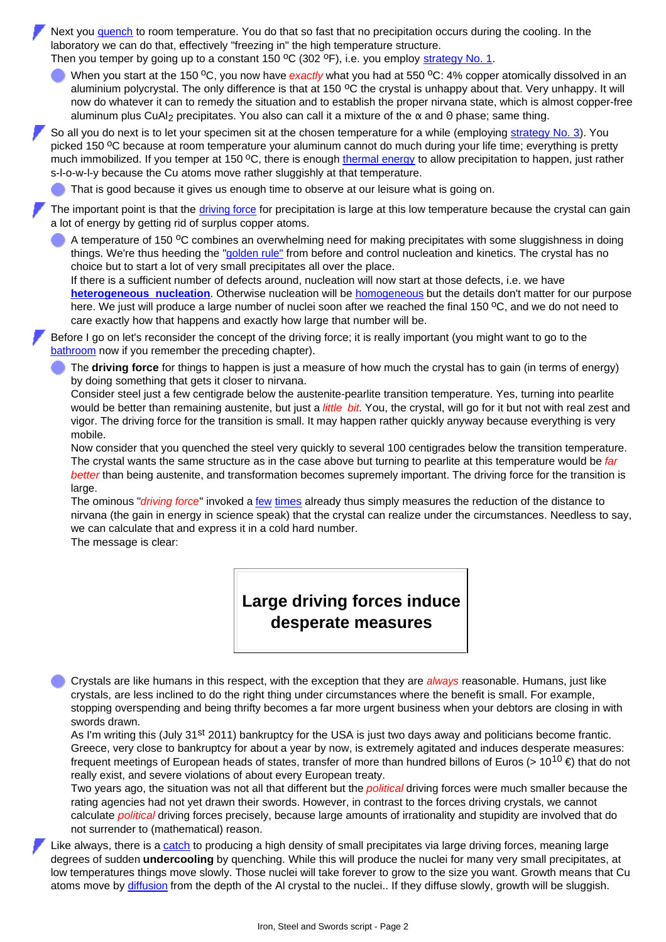Next you [quench](http://www.tf.uni-kiel.de/matwis/amat/iss_dec_15_2021/kap_8/backbone/r8_2_1.html#quenching) to room temperature. You do that so fast that no precipitation occurs during the cooling. In the laboratory we can do that, effectively "freezing in" the high temperature structure. Then you temper by going up to a constant 150  $^{\circ}$ C (302  $^{\circ}$ F), i.e. you employ [strategy No. 1.](http://www.tf.uni-kiel.de/matwis/amat/iss_dec_15_2021/kap_8/backbone/r8_2_1.html#strategies for microstructure engineering)

When you start at the 150 <sup>o</sup>C, you now have *exactly* what you had at 550 <sup>o</sup>C: 4% copper atomically dissolved in an aluminium polycrystal. The only difference is that at 150 °C the crystal is unhappy about that. Very unhappy. It will now do whatever it can to remedy the situation and to establish the proper nirvana state, which is almost copper-free aluminum plus CuAl<sub>2</sub> precipitates. You also can call it a mixture of the  $\alpha$  and  $\theta$  phase; same thing.

So all you do next is to let your specimen sit at the chosen temperature for a while (employing [strategy No. 3\)](http://www.tf.uni-kiel.de/matwis/amat/iss_dec_15_2021/kap_8/backbone/r8_2_1.html#strategies for microstructure engineering). You picked 150 <sup>o</sup>C because at room temperature your aluminum cannot do much during your life time; everything is pretty much immobilized. If you temper at 150 °C, there is enough [thermal energy](http://www.tf.uni-kiel.de/matwis/amat/iss_dec_15_2021/kap_4/backbone/r4_4_1.html#thermal energy) to allow precipitation to happen, just rather s-l-o-w-l-y because the Cu atoms move rather sluggishly at that temperature.

That is good because it gives us enough time to observe at our leisure what is going on.

The important point is that the *[driving force](http://www.tf.uni-kiel.de/matwis/amat/iss_dec_15_2021/kap_8/backbone/r8_2_1.html#driving force)* for precipitation is large at this low temperature because the crystal can gain a lot of energy by getting rid of surplus copper atoms.

A temperature of 150 °C combines an overwhelming need for making precipitates with some sluggishness in doing things. We're thus heeding the ["golden rule"](http://www.tf.uni-kiel.de/matwis/amat/iss_dec_15_2021/kap_8/backbone/r8_2_2.html#golden rule for microstructure control) from before and control nucleation and kinetics. The crystal has no choice but to start a lot of very small precipitates all over the place.

If there is a sufficient number of defects around, nucleation will now start at those defects, i.e. we have **[heterogeneous nucleation](http://www.tf.uni-kiel.de/matwis/amat/iss_dec_15_2021/kap_5/illustr/s5_3_1c.html)**. Otherwise nucleation will be [homogeneous](http://www.tf.uni-kiel.de/matwis/amat/iss_dec_15_2021/kap_5/illustr/s5_3_1b.html) but the details don't matter for our purpose here. We just will produce a large number of nuclei soon after we reached the final 150  $\rm{^{\circ}C}$ , and we do not need to care exactly how that happens and exactly how large that number will be.

Before I go on let's reconsider the concept of the driving force; it is really important (you might want to go to the [bathroom](http://www.tf.uni-kiel.de/matwis/amat/iss_dec_15_2021/kap_8/backbone/r8_2_2.html#_9) now if you remember the preceding chapter).

The **driving force** for things to happen is just a measure of how much the crystal has to gain (in terms of energy) by doing something that gets it closer to nirvana.

Consider steel just a few centigrade below the austenite-pearlite transition temperature. Yes, turning into pearlite would be better than remaining austenite, but just a *little bit*. You, the crystal, will go for it but not with real zest and vigor. The driving force for the transition is small. It may happen rather quickly anyway because everything is very mobile.

Now consider that you quenched the steel very quickly to several 100 centigrades below the transition temperature. The crystal wants the same structure as in the case above but turning to pearlite at this temperature would be *far better* than being austenite, and transformation becomes supremely important. The driving force for the transition is large.

The ominous "*driving force*" invoked a [few](http://www.tf.uni-kiel.de/matwis/amat/iss_dec_15_2021/kap_6/backbone/r6_3_1.html#driving force) [times](http://www.tf.uni-kiel.de/matwis/amat/iss_dec_15_2021/kap_6/backbone/r6_2_2.html#driving forces) already thus simply measures the reduction of the distance to nirvana (the gain in energy in science speak) that the crystal can realize under the circumstances. Needless to say, we can calculate that and express it in a cold hard number.

The message is clear:

**Large driving forces induce desperate measures**

Crystals are like humans in this respect, with the exception that they are *always* reasonable. Humans, just like crystals, are less inclined to do the right thing under circumstances where the benefit is small. For example, stopping overspending and being thrifty becomes a far more urgent business when your debtors are closing in with swords drawn.

As I'm writing this (July 31<sup>st</sup> 2011) bankruptcy for the USA is just two days away and politicians become frantic. Greece, very close to bankruptcy for about a year by now, is extremely agitated and induces desperate measures: frequent meetings of European heads of states, transfer of more than hundred billons of Euros (> 10<sup>10</sup> €) that do not really exist, and severe violations of about every European treaty.

Two years ago, the situation was not all that different but the *political* driving forces were much smaller because the rating agencies had not yet drawn their swords. However, in contrast to the forces driving crystals, we cannot calculate *political* driving forces precisely, because large amounts of irrationality and stupidity are involved that do not surrender to (mathematical) reason.

Like always, there is a [catch](http://www.tf.uni-kiel.de/matwis/amat/iss_dec_15_2021/kap_3/backbone/r3_3_1.html#first law of economics) to producing a high density of small precipitates via large driving forces, meaning large degrees of sudden **undercooling** by quenching. While this will produce the nuclei for many very small precipitates, at low temperatures things move slowly. Those nuclei will take forever to grow to the size you want. Growth means that Cu atoms move by [diffusion](http://www.tf.uni-kiel.de/matwis/amat/iss_dec_15_2021/kap_4/backbone/r4_4_2.html#diffusion) from the depth of the Al crystal to the nuclei.. If they diffuse slowly, growth will be sluggish.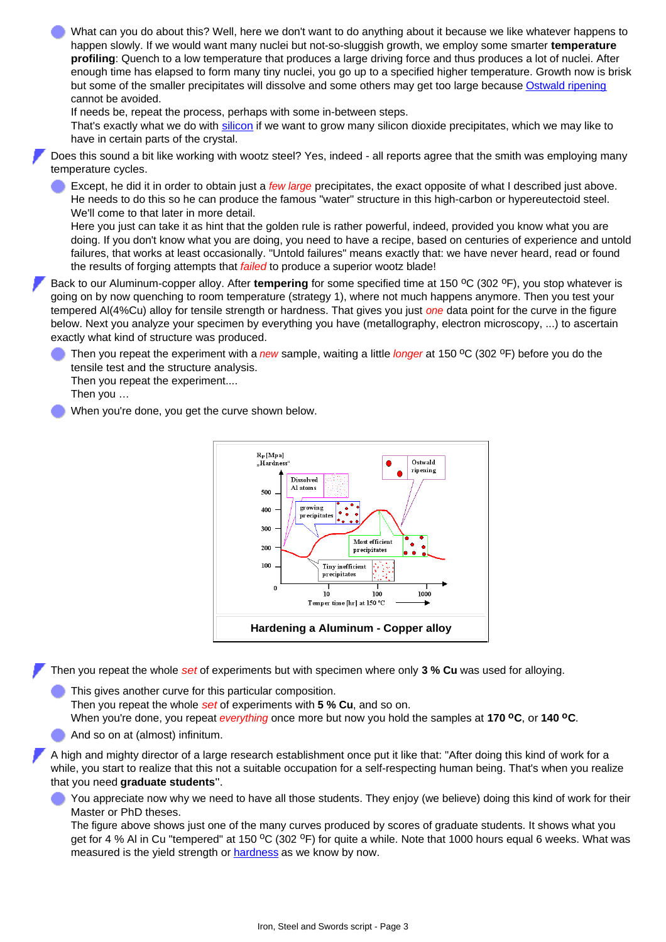What can you do about this? Well, here we don't want to do anything about it because we like whatever happens to happen slowly. If we would want many nuclei but not-so-sluggish growth, we employ some smarter **temperature profiling**: Quench to a low temperature that produces a large driving force and thus produces a lot of nuclei. After enough time has elapsed to form many tiny nuclei, you go up to a specified higher temperature. Growth now is brisk but some of the smaller precipitates will dissolve and some others may get too large because [Ostwald ripening](http://www.tf.uni-kiel.de/matwis/amat/iss_dec_15_2021/kap_8/backbone/r8_2_1.html#ostwald ripening) cannot be avoided.

If needs be, repeat the process, perhaps with some in-between steps.

That's exactly what we do with [silicon](http://www.tf.uni-kiel.de/matwis/amat/iss_dec_15_2021/kap_8/advanced/a8_2_1.html) if we want to grow many silicon dioxide precipitates, which we may like to have in certain parts of the crystal.

Does this sound a bit like working with wootz steel? Yes, indeed - all reports agree that the smith was employing many temperature cycles.

Except, he did it in order to obtain just a *few large* precipitates, the exact opposite of what I described just above. He needs to do this so he can produce the famous "water" structure in this high-carbon or hypereutectoid steel. We'll come to that later in more detail.

Here you just can take it as hint that the golden rule is rather powerful, indeed, provided you know what you are doing. If you don't know what you are doing, you need to have a recipe, based on centuries of experience and untold failures, that works at least occasionally. "Untold failures" means exactly that: we have never heard, read or found the results of forging attempts that *failed* to produce a superior wootz blade!

Back to our Aluminum-copper alloy. After **tempering** for some specified time at 150 °C (302 °F), you stop whatever is going on by now quenching to room temperature (strategy 1), where not much happens anymore. Then you test your tempered Al(4%Cu) alloy for tensile strength or hardness. That gives you just *one* data point for the curve in the figure below. Next you analyze your specimen by everything you have (metallography, electron microscopy, ...) to ascertain exactly what kind of structure was produced.

Then you repeat the experiment with a *new* sample, waiting a little *longer* at 150 <sup>o</sup>C (302 <sup>o</sup>F) before you do the tensile test and the structure analysis.

Then you repeat the experiment....

Then you …

When you're done, you get the curve shown below.



Then you repeat the whole *set* of experiments but with specimen where only **3 % Cu** was used for alloying.

- This gives another curve for this particular composition. Then you repeat the whole *set* of experiments with **5 % Cu**, and so on. When you're done, you repeat *everything* once more but now you hold the samples at **170 oC**, or **140 oC**.
- And so on at (almost) infinitum.

A high and mighty director of a large research establishment once put it like that: "After doing this kind of work for a while, you start to realize that this not a suitable occupation for a self-respecting human being. That's when you realize that you need **graduate students**".

You appreciate now why we need to have all those students. They enjoy (we believe) doing this kind of work for their Master or PhD theses.

The figure above shows just one of the many curves produced by scores of graduate students. It shows what you get for 4 % Al in Cu "tempered" at 150 °C (302 °F) for quite a while. Note that 1000 hours equal 6 weeks. What was measured is the yield strength or [hardness](http://www.tf.uni-kiel.de/matwis/amat/iss_dec_15_2021/kap_3/backbone/r3_3_1.html#hardness and yield stress) as we know by now.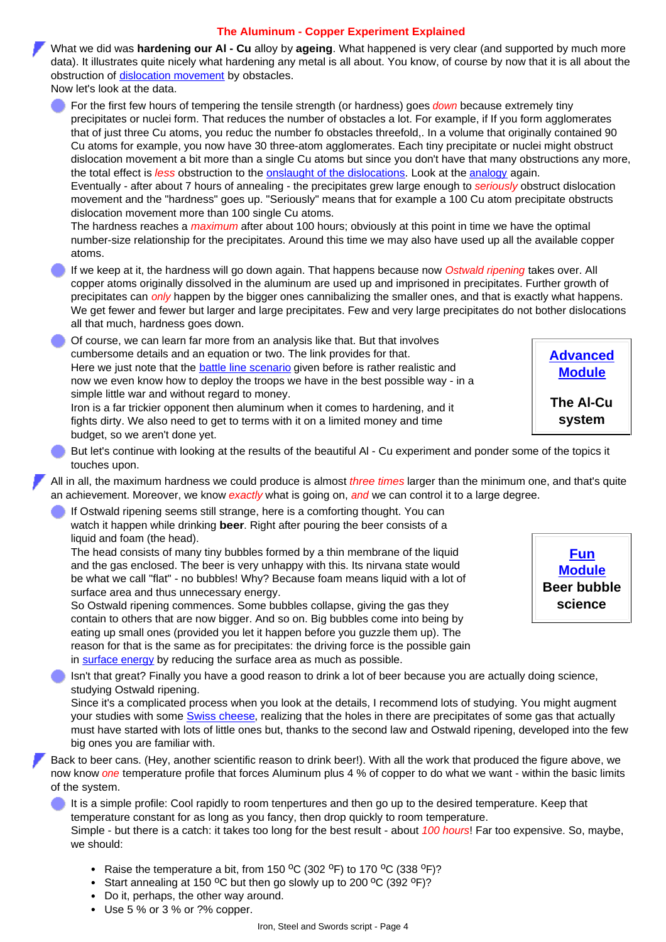## **The Aluminum - Copper Experiment Explained**

What we did was **hardening our Al - Cu** alloy by **ageing**. What happened is very clear (and supported by much more data). It illustrates quite nicely what hardening any metal is all about. You know, of course by now that it is all about the obstruction of [dislocation movement](http://www.tf.uni-kiel.de/matwis/amat/iss_dec_15_2021/kap_5/backbone/r5_4_2.html#_3) by obstacles.

Now let's look at the data.

For the first few hours of tempering the tensile strength (or hardness) goes *down* because extremely tiny precipitates or nuclei form. That reduces the number of obstacles a lot. For example, if If you form agglomerates that of just three Cu atoms, you reduc the number fo obstacles threefold,. In a volume that originally contained 90 Cu atoms for example, you now have 30 three-atom agglomerates. Each tiny precipitate or nuclei might obstruct dislocation movement a bit more than a single Cu atoms but since you don't have that many obstructions any more, the total effect is *less* obstruction to the [onslaught of the dislocations.](http://www.tf.uni-kiel.de/matwis/amat/iss_dec_15_2021/kap_8/backbone/r8_1_1.html) Look at the [analogy](http://www.tf.uni-kiel.de/matwis/amat/iss_dec_15_2021/kap_8/backbone/r8_1_1.html) again.

Eventually - after about 7 hours of annealing - the precipitates grew large enough to *seriously* obstruct dislocation movement and the "hardness" goes up. "Seriously" means that for example a 100 Cu atom precipitate obstructs dislocation movement more than 100 single Cu atoms.

The hardness reaches a *maximum* after about 100 hours; obviously at this point in time we have the optimal number-size relationship for the precipitates. Around this time we may also have used up all the available copper atoms.

If we keep at it, the hardness will go down again. That happens because now *Ostwald ripening* takes over. All copper atoms originally dissolved in the aluminum are used up and imprisoned in precipitates. Further growth of precipitates can *only* happen by the bigger ones cannibalizing the smaller ones, and that is exactly what happens. We get fewer and fewer but larger and large precipitates. Few and very large precipitates do not bother dislocations all that much, hardness goes down.

Of course, we can learn far more from an analysis like that. But that involves cumbersome details and an equation or two. The link provides for that. Here we just note that the **battle line scenario** given before is rather realistic and now we even know how to deploy the troops we have in the best possible way - in a simple little war and without regard to money. Iron is a far trickier opponent then aluminum when it comes to hardening, and it

fights dirty. We also need to get to terms with it on a limited money and time budget, so we aren't done yet.

But let's continue with looking at the results of the beautiful Al - Cu experiment and ponder some of the topics it touches upon.

All in all, the maximum hardness we could produce is almost *three times* larger than the minimum one, and that's quite an achievement. Moreover, we know *exactly* what is going on, *and* we can control it to a large degree.

If Ostwald ripening seems still strange, here is a comforting thought. You can watch it happen while drinking **beer**. Right after pouring the beer consists of a liquid and foam (the head).

The head consists of many tiny bubbles formed by a thin membrane of the liquid and the gas enclosed. The beer is very unhappy with this. Its nirvana state would be what we call "flat" - no bubbles! Why? Because foam means liquid with a lot of surface area and thus unnecessary energy.

So Ostwald ripening commences. Some bubbles collapse, giving the gas they contain to others that are now bigger. And so on. Big bubbles come into being by eating up small ones (provided you let it happen before you guzzle them up). The reason for that is the same as for precipitates: the driving force is the possible gain in [surface energy](http://www.tf.uni-kiel.de/matwis/amat/iss_dec_15_2021/kap_5/backbone/r5_3_2.html#_1) by reducing the surface area as much as possible.

Isn't that great? Finally you have a good reason to drink a lot of beer because you are actually doing science, studying Ostwald ripening.

Since it's a complicated process when you look at the details, I recommend lots of studying. You might augment your studies with some [Swiss cheese,](http://www.tf.uni-kiel.de/matwis/amat/iss_dec_15_2021/kap_8/backbone/r8_2_2.html#swiss cheese; ostwald ripening) realizing that the holes in there are precipitates of some gas that actually must have started with lots of little ones but, thanks to the second law and Ostwald ripening, developed into the few big ones you are familiar with.

Back to beer cans. (Hey, another scientific reason to drink beer!). With all the work that produced the figure above, we now know *one* temperature profile that forces Aluminum plus 4 % of copper to do what we want - within the basic limits of the system.

It is a simple profile: Cool rapidly to room tenpertures and then go up to the desired temperature. Keep that temperature constant for as long as you fancy, then drop quickly to room temperature. Simple - but there is a catch: it takes too long for the best result - about *100 hours*! Far too expensive. So, maybe, we should:

- Raise the temperature a bit, from 150  $^{\circ}$ C (302  $^{\circ}$ F) to 170  $^{\circ}$ C (338  $^{\circ}$ F)?
- Start annealing at 150  $^{\circ}$ C but then go slowly up to 200  $^{\circ}$ C (392  $^{\circ}$ F)?
- Do it, perhaps, the other way around.
- Use 5 % or 3 % or ?% copper.



**[Advanced](http://www.tf.uni-kiel.de/matwis/amat/iss_dec_15_2021/kap_8/advanced/a8_2_2.html) [Module](http://www.tf.uni-kiel.de/matwis/amat/iss_dec_15_2021/kap_8/advanced/a8_2_2.html) The Al-Cu system**